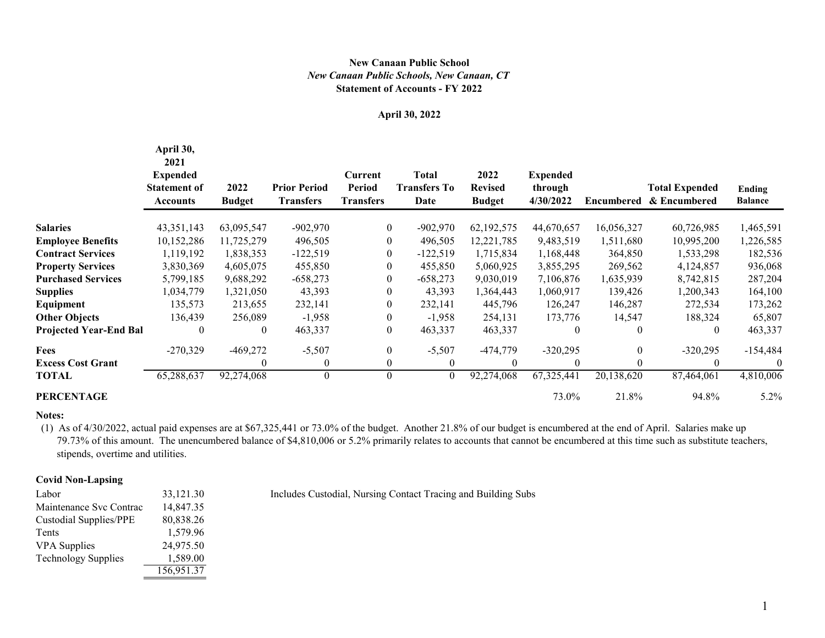## **Statement of Accounts - FY 2022** *New Canaan Public Schools, New Canaan, CT* **New Canaan Public School**

# **April 30, 2022**

|                               | April 30,<br>2021<br><b>Expended</b><br><b>Statement of</b><br><b>Accounts</b> | 2022<br><b>Budget</b> | <b>Prior Period</b><br><b>Transfers</b> | Current<br><b>Period</b><br><b>Transfers</b> | <b>Total</b><br><b>Transfers To</b><br>Date | 2022<br><b>Revised</b><br><b>Budget</b> | <b>Expended</b><br>through<br>4/30/2022 | <b>Encumbered</b> | <b>Total Expended</b><br>& Encumbered | Ending<br><b>Balance</b> |
|-------------------------------|--------------------------------------------------------------------------------|-----------------------|-----------------------------------------|----------------------------------------------|---------------------------------------------|-----------------------------------------|-----------------------------------------|-------------------|---------------------------------------|--------------------------|
| <b>Salaries</b>               | 43, 351, 143                                                                   | 63,095,547            | $-902,970$                              | $\overline{0}$                               | $-902,970$                                  | 62,192,575                              | 44,670,657                              | 16,056,327        | 60,726,985                            | 1,465,591                |
| <b>Employee Benefits</b>      | 10,152,286                                                                     | 11,725,279            | 496,505                                 | $\boldsymbol{0}$                             | 496,505                                     | 12,221,785                              | 9,483,519                               | 1,511,680         | 10,995,200                            | 1,226,585                |
| <b>Contract Services</b>      | 1,119,192                                                                      | 1,838,353             | $-122,519$                              | $\boldsymbol{0}$                             | $-122,519$                                  | 1,715,834                               | 1,168,448                               | 364,850           | 1,533,298                             | 182,536                  |
| <b>Property Services</b>      | 3,830,369                                                                      | 4,605,075             | 455,850                                 | $\boldsymbol{0}$                             | 455,850                                     | 5,060,925                               | 3,855,295                               | 269,562           | 4,124,857                             | 936,068                  |
| <b>Purchased Services</b>     | 5,799,185                                                                      | 9,688,292             | $-658,273$                              | $\boldsymbol{0}$                             | $-658,273$                                  | 9,030,019                               | 7,106,876                               | 1,635,939         | 8,742,815                             | 287,204                  |
| <b>Supplies</b>               | 1,034,779                                                                      | 1,321,050             | 43,393                                  | $\boldsymbol{0}$                             | 43,393                                      | 1,364,443                               | 1,060,917                               | 139,426           | 1,200,343                             | 164,100                  |
| Equipment                     | 135,573                                                                        | 213,655               | 232,141                                 | $\boldsymbol{0}$                             | 232,141                                     | 445,796                                 | 126,247                                 | 146,287           | 272,534                               | 173,262                  |
| <b>Other Objects</b>          | 136,439                                                                        | 256,089               | $-1,958$                                | $\boldsymbol{0}$                             | $-1,958$                                    | 254,131                                 | 173,776                                 | 14,547            | 188,324                               | 65,807                   |
| <b>Projected Year-End Bal</b> | $\boldsymbol{0}$                                                               | $\boldsymbol{0}$      | 463,337                                 | $\boldsymbol{0}$                             | 463,337                                     | 463,337                                 | $\boldsymbol{0}$                        | $\boldsymbol{0}$  | 0                                     | 463,337                  |
| <b>Fees</b>                   | $-270,329$                                                                     | $-469,272$            | $-5,507$                                | $\boldsymbol{0}$                             | $-5,507$                                    | $-474,779$                              | $-320,295$                              | $\overline{0}$    | $-320,295$                            | $-154,484$               |
| <b>Excess Cost Grant</b>      |                                                                                | $\boldsymbol{0}$      | $\theta$                                | $\boldsymbol{0}$                             | $\overline{0}$                              | $\overline{0}$                          | $\boldsymbol{0}$                        | $\boldsymbol{0}$  | 0                                     | $\theta$                 |
| TOTAL                         | 65,288,637                                                                     | 92,274,068            | $\boldsymbol{0}$                        | $\boldsymbol{0}$                             | $\boldsymbol{0}$                            | 92,274,068                              | 67,325,441                              | 20,138,620        | 87,464,061                            | 4,810,006                |
| <b>PERCENTAGE</b>             |                                                                                |                       |                                         |                                              |                                             |                                         | 73.0%                                   | 21.8%             | 94.8%                                 | $5.2\%$                  |

#### **Notes:**

 (1) As of 4/30/2022, actual paid expenses are at \$67,325,441 or 73.0% of the budget. Another 21.8% of our budget is encumbered at the end of April. Salaries make up 79.73% of this amount. The unencumbered balance of \$4,810,006 or 5.2% primarily relates to accounts that cannot be encumbered at this time such as substitute teachers, stipends, overtime and utilities.

### **Covid Non-Lapsing**

| Labor                         | 33,121.30  |
|-------------------------------|------------|
| Maintenance Svc Contrac       | 14,847.35  |
| <b>Custodial Supplies/PPE</b> | 80,838.26  |
| Tents                         | 1,579.96   |
| <b>VPA</b> Supplies           | 24,975.50  |
| <b>Technology Supplies</b>    | 1,589.00   |
|                               | 156,951.37 |

Includes Custodial, Nursing Contact Tracing and Building Subs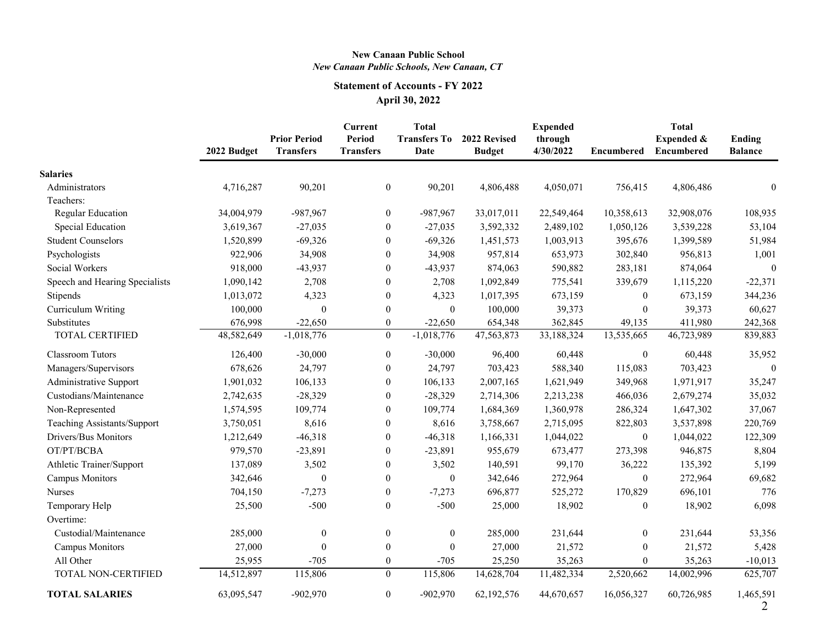# **New Canaan Public School** *New Canaan Public Schools, New Canaan, CT*

# **Statement of Accounts - FY 2022 April 30, 2022**

|                                | 2022 Budget | <b>Prior Period</b><br><b>Transfers</b> | <b>Current</b><br><b>Period</b><br><b>Transfers</b> | <b>Total</b><br><b>Transfers To</b><br>Date | 2022 Revised<br><b>Budget</b> | <b>Expended</b><br>through<br>4/30/2022 | <b>Encumbered</b> | <b>Total</b><br><b>Expended &amp;</b><br><b>Encumbered</b> | <b>Ending</b><br><b>Balance</b> |
|--------------------------------|-------------|-----------------------------------------|-----------------------------------------------------|---------------------------------------------|-------------------------------|-----------------------------------------|-------------------|------------------------------------------------------------|---------------------------------|
| <b>Salaries</b>                |             |                                         |                                                     |                                             |                               |                                         |                   |                                                            |                                 |
| Administrators                 | 4,716,287   | 90,201                                  | $\boldsymbol{0}$                                    | 90,201                                      | 4,806,488                     | 4,050,071                               | 756,415           | 4,806,486                                                  |                                 |
| Teachers:                      |             |                                         |                                                     |                                             |                               |                                         |                   |                                                            |                                 |
| <b>Regular Education</b>       | 34,004,979  | $-987,967$                              | $\boldsymbol{0}$                                    | $-987,967$                                  | 33,017,011                    | 22,549,464                              | 10,358,613        | 32,908,076                                                 | 108,935                         |
| Special Education              | 3,619,367   | $-27,035$                               | $\boldsymbol{0}$                                    | $-27,035$                                   | 3,592,332                     | 2,489,102                               | 1,050,126         | 3,539,228                                                  | 53,104                          |
| <b>Student Counselors</b>      | 1,520,899   | $-69,326$                               | $\boldsymbol{0}$                                    | $-69,326$                                   | 1,451,573                     | 1,003,913                               | 395,676           | 1,399,589                                                  | 51,984                          |
| Psychologists                  | 922,906     | 34,908                                  | $\boldsymbol{0}$                                    | 34,908                                      | 957,814                       | 653,973                                 | 302,840           | 956,813                                                    | 1,001                           |
| Social Workers                 | 918,000     | $-43,937$                               | $\boldsymbol{0}$                                    | $-43,937$                                   | 874,063                       | 590,882                                 | 283,181           | 874,064                                                    | $\mathbf{0}$                    |
| Speech and Hearing Specialists | 1,090,142   | 2,708                                   | $\boldsymbol{0}$                                    | 2,708                                       | 1,092,849                     | 775,541                                 | 339,679           | 1,115,220                                                  | $-22,371$                       |
| Stipends                       | 1,013,072   | 4,323                                   | $\boldsymbol{0}$                                    | 4,323                                       | 1,017,395                     | 673,159                                 | $\boldsymbol{0}$  | 673,159                                                    | 344,236                         |
| Curriculum Writing             | 100,000     | $\boldsymbol{0}$                        | $\boldsymbol{0}$                                    | $\mathbf{0}$                                | 100,000                       | 39,373                                  | $\theta$          | 39,373                                                     | 60,627                          |
| Substitutes                    | 676,998     | $-22,650$                               | $\boldsymbol{0}$                                    | $-22,650$                                   | 654,348                       | 362,845                                 | 49,135            | 411,980                                                    | 242,368                         |
| <b>TOTAL CERTIFIED</b>         | 48,582,649  | $-1,018,776$                            | $\overline{0}$                                      | $-1,018,776$                                | 47,563,873                    | 33,188,324                              | 13,535,665        | 46,723,989                                                 | 839,883                         |
| <b>Classroom Tutors</b>        | 126,400     | $-30,000$                               | $\boldsymbol{0}$                                    | $-30,000$                                   | 96,400                        | 60,448                                  | $\boldsymbol{0}$  | 60,448                                                     | 35,952                          |
| Managers/Supervisors           | 678,626     | 24,797                                  | $\boldsymbol{0}$                                    | 24,797                                      | 703,423                       | 588,340                                 | 115,083           | 703,423                                                    | $\Omega$                        |
| <b>Administrative Support</b>  | 1,901,032   | 106,133                                 | $\boldsymbol{0}$                                    | 106,133                                     | 2,007,165                     | 1,621,949                               | 349,968           | 1,971,917                                                  | 35,247                          |
| Custodians/Maintenance         | 2,742,635   | $-28,329$                               | $\boldsymbol{0}$                                    | $-28,329$                                   | 2,714,306                     | 2,213,238                               | 466,036           | 2,679,274                                                  | 35,032                          |
| Non-Represented                | 1,574,595   | 109,774                                 | $\boldsymbol{0}$                                    | 109,774                                     | 1,684,369                     | 1,360,978                               | 286,324           | 1,647,302                                                  | 37,067                          |
| Teaching Assistants/Support    | 3,750,051   | 8,616                                   | $\boldsymbol{0}$                                    | 8,616                                       | 3,758,667                     | 2,715,095                               | 822,803           | 3,537,898                                                  | 220,769                         |
| Drivers/Bus Monitors           | 1,212,649   | $-46,318$                               | $\boldsymbol{0}$                                    | $-46,318$                                   | 1,166,331                     | 1,044,022                               | $\boldsymbol{0}$  | 1,044,022                                                  | 122,309                         |
| OT/PT/BCBA                     | 979,570     | $-23,891$                               | $\boldsymbol{0}$                                    | $-23,891$                                   | 955,679                       | 673,477                                 | 273,398           | 946,875                                                    | 8,804                           |
| Athletic Trainer/Support       | 137,089     | 3,502                                   | $\boldsymbol{0}$                                    | 3,502                                       | 140,591                       | 99,170                                  | 36,222            | 135,392                                                    | 5,199                           |
| <b>Campus Monitors</b>         | 342,646     | $\boldsymbol{0}$                        | $\boldsymbol{0}$                                    | $\boldsymbol{0}$                            | 342,646                       | 272,964                                 | $\boldsymbol{0}$  | 272,964                                                    | 69,682                          |
| <b>Nurses</b>                  | 704,150     | $-7,273$                                | $\boldsymbol{0}$                                    | $-7,273$                                    | 696,877                       | 525,272                                 | 170,829           | 696,101                                                    | 776                             |
| Temporary Help                 | 25,500      | $-500$                                  | $\boldsymbol{0}$                                    | $-500$                                      | 25,000                        | 18,902                                  | $\boldsymbol{0}$  | 18,902                                                     | 6,098                           |
| Overtime:                      |             |                                         |                                                     |                                             |                               |                                         |                   |                                                            |                                 |
| Custodial/Maintenance          | 285,000     | $\boldsymbol{0}$                        | $\overline{0}$                                      | $\overline{0}$                              | 285,000                       | 231,644                                 | $\boldsymbol{0}$  | 231,644                                                    | 53,356                          |
| <b>Campus Monitors</b>         | 27,000      | $\boldsymbol{0}$                        | $\boldsymbol{0}$                                    | $\boldsymbol{0}$                            | 27,000                        | 21,572                                  | $\mathbf{0}$      | 21,572                                                     | 5,428                           |
| All Other                      | 25,955      | $-705$                                  | $\boldsymbol{0}$                                    | $-705$                                      | 25,250                        | 35,263                                  | $\boldsymbol{0}$  | 35,263                                                     | $-10,013$                       |
| <b>TOTAL NON-CERTIFIED</b>     | 14,512,897  | 115,806                                 | $\overline{0}$                                      | 115,806                                     | 14,628,704                    | 11,482,334                              | 2,520,662         | 14,002,996                                                 | 625,707                         |
| <b>TOTAL SALARIES</b>          | 63,095,547  | $-902,970$                              | $\overline{0}$                                      | $-902,970$                                  | 62,192,576                    | 44,670,657                              | 16,056,327        | 60,726,985                                                 | 1,465,591<br>$\bigcap$          |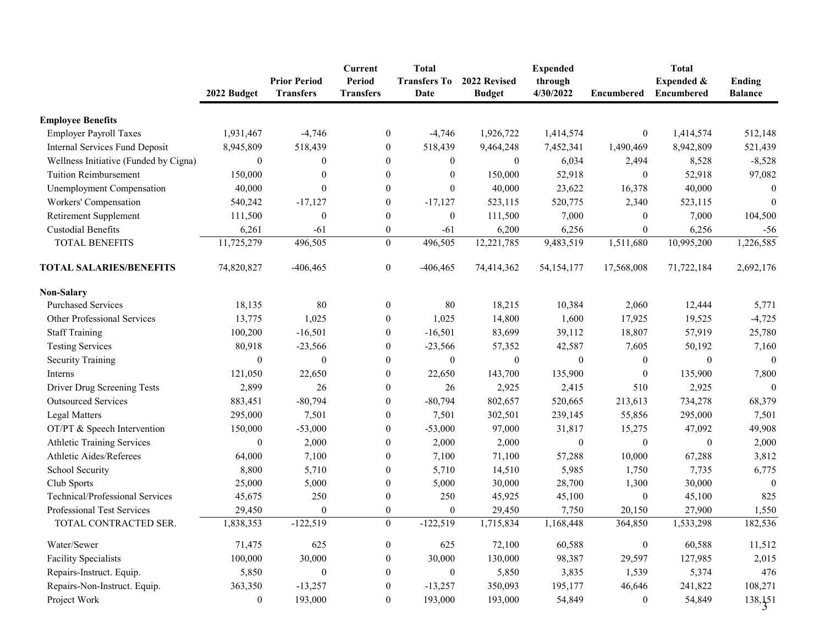|                                        | 2022 Budget      | <b>Prior Period</b><br><b>Transfers</b> | <b>Current</b><br><b>Period</b><br><b>Transfers</b> | <b>Total</b><br><b>Transfers To</b><br>Date | 2022 Revised<br><b>Budget</b> | <b>Expended</b><br>through<br>4/30/2022 | <b>Encumbered</b> | <b>Total</b><br><b>Expended &amp;</b><br><b>Encumbered</b> | Ending<br><b>Balance</b> |
|----------------------------------------|------------------|-----------------------------------------|-----------------------------------------------------|---------------------------------------------|-------------------------------|-----------------------------------------|-------------------|------------------------------------------------------------|--------------------------|
| <b>Employee Benefits</b>               |                  |                                         |                                                     |                                             |                               |                                         |                   |                                                            |                          |
| <b>Employer Payroll Taxes</b>          | 1,931,467        | $-4,746$                                | $\boldsymbol{0}$                                    | $-4,746$                                    | 1,926,722                     | 1,414,574                               | $\mathbf{0}$      | 1,414,574                                                  | 512,148                  |
| <b>Internal Services Fund Deposit</b>  | 8,945,809        | 518,439                                 | $\boldsymbol{0}$                                    | 518,439                                     | 9,464,248                     | 7,452,341                               | 1,490,469         | 8,942,809                                                  | 521,439                  |
| Wellness Initiative (Funded by Cigna)  | $\boldsymbol{0}$ | $\theta$                                | $\theta$                                            | $\theta$                                    | $\boldsymbol{0}$              | 6,034                                   | 2,494             | 8,528                                                      | $-8,528$                 |
| <b>Tuition Reimbursement</b>           | 150,000          | $\Omega$                                | $\theta$                                            | $\Omega$                                    | 150,000                       | 52,918                                  | $\theta$          | 52,918                                                     | 97,082                   |
| <b>Unemployment Compensation</b>       | 40,000           | $\theta$                                | $\boldsymbol{0}$                                    | $\theta$                                    | 40,000                        | 23,622                                  | 16,378            | 40,000                                                     | $\theta$                 |
| Workers' Compensation                  | 540,242          | $-17,127$                               | $\overline{0}$                                      | $-17,127$                                   | 523,115                       | 520,775                                 | 2,340             | 523,115                                                    | $\overline{0}$           |
| Retirement Supplement                  | 111,500          | $\theta$                                | $\boldsymbol{0}$                                    | $\theta$                                    | 111,500                       | 7,000                                   | $\overline{0}$    | 7,000                                                      | 104,500                  |
| <b>Custodial Benefits</b>              | 6,261            | $-61$                                   | $\boldsymbol{0}$                                    | $-61$                                       | 6,200                         | 6,256                                   | $\boldsymbol{0}$  | 6,256                                                      | $-56$                    |
| TOTAL BENEFITS                         | 11,725,279       | 496,505                                 | $\boldsymbol{0}$                                    | 496,505                                     | 12,221,785                    | 9,483,519                               | 1,511,680         | 10,995,200                                                 | 1,226,585                |
| <b>TOTAL SALARIES/BENEFITS</b>         | 74,820,827       | $-406, 465$                             | $\boldsymbol{0}$                                    | $-406, 465$                                 | 74,414,362                    | 54, 154, 177                            | 17,568,008        | 71,722,184                                                 | 2,692,176                |
| <b>Non-Salary</b>                      |                  |                                         |                                                     |                                             |                               |                                         |                   |                                                            |                          |
| <b>Purchased Services</b>              | 18,135           | 80                                      | $\boldsymbol{0}$                                    | 80                                          | 18,215                        | 10,384                                  | 2,060             | 12,444                                                     | 5,771                    |
| <b>Other Professional Services</b>     | 13,775           | 1,025                                   | $\overline{0}$                                      | 1,025                                       | 14,800                        | 1,600                                   | 17,925            | 19,525                                                     | $-4,725$                 |
| <b>Staff Training</b>                  | 100,200          | $-16,501$                               | $\boldsymbol{0}$                                    | $-16,501$                                   | 83,699                        | 39,112                                  | 18,807            | 57,919                                                     | 25,780                   |
| <b>Testing Services</b>                | 80,918           | $-23,566$                               | $\boldsymbol{0}$                                    | $-23,566$                                   | 57,352                        | 42,587                                  | 7,605             | 50,192                                                     | 7,160                    |
| <b>Security Training</b>               | $\boldsymbol{0}$ | $\Omega$                                | $\theta$                                            | $\theta$                                    | $\boldsymbol{0}$              | $\theta$                                | $\boldsymbol{0}$  | $\theta$                                                   | $\boldsymbol{0}$         |
| Interns                                | 121,050          | 22,650                                  | $\boldsymbol{0}$                                    | 22,650                                      | 143,700                       | 135,900                                 | $\mathbf{0}$      | 135,900                                                    | 7,800                    |
| Driver Drug Screening Tests            | 2,899            | 26                                      | $\overline{0}$                                      | 26                                          | 2,925                         | 2,415                                   | 510               | 2,925                                                      | $\overline{0}$           |
| <b>Outsourced Services</b>             | 883,451          | $-80,794$                               | $\theta$                                            | $-80,794$                                   | 802,657                       | 520,665                                 | 213,613           | 734,278                                                    | 68,379                   |
| <b>Legal Matters</b>                   | 295,000          | 7,501                                   | $\theta$                                            | 7,501                                       | 302,501                       | 239,145                                 | 55,856            | 295,000                                                    | 7,501                    |
| OT/PT & Speech Intervention            | 150,000          | $-53,000$                               | $\theta$                                            | $-53,000$                                   | 97,000                        | 31,817                                  | 15,275            | 47,092                                                     | 49,908                   |
| <b>Athletic Training Services</b>      | $\boldsymbol{0}$ | 2,000                                   | $\theta$                                            | 2,000                                       | 2,000                         | $\boldsymbol{0}$                        | $\boldsymbol{0}$  | $\boldsymbol{0}$                                           | 2,000                    |
| Athletic Aides/Referees                | 64,000           | 7,100                                   |                                                     | 7,100                                       | 71,100                        | 57,288                                  | 10,000            | 67,288                                                     | 3,812                    |
| School Security                        | 8,800            | 5,710                                   | $\boldsymbol{0}$                                    | 5,710                                       | 14,510                        | 5,985                                   | 1,750             | 7,735                                                      | 6,775                    |
| Club Sports                            | 25,000           | 5,000                                   |                                                     | 5,000                                       | 30,000                        | 28,700                                  | 1,300             | 30,000                                                     | $\theta$                 |
| <b>Technical/Professional Services</b> | 45,675           | 250                                     |                                                     | 250                                         | 45,925                        | 45,100                                  | $\boldsymbol{0}$  | 45,100                                                     | 825                      |
| <b>Professional Test Services</b>      | 29,450           | $\theta$                                | $\theta$                                            | $\mathbf{0}$                                | 29,450                        | 7,750                                   | 20,150            | 27,900                                                     | 1,550                    |
| TOTAL CONTRACTED SER.                  | 1,838,353        | $-122,519$                              |                                                     | $\mathbf{0}$<br>$-122,519$                  | 1,715,834                     | 1,168,448                               | 364,850           | 1,533,298                                                  | 182,536                  |
| Water/Sewer                            | 71,475           | 625                                     | $\boldsymbol{0}$                                    | 625                                         | 72,100                        | 60,588                                  | $\boldsymbol{0}$  | 60,588                                                     | 11,512                   |
| <b>Facility Specialists</b>            | 100,000          | 30,000                                  | $\theta$                                            | 30,000                                      | 130,000                       | 98,387                                  | 29,597            | 127,985                                                    | 2,015                    |
| Repairs-Instruct. Equip.               | 5,850            |                                         | $\theta$                                            |                                             | 5,850                         | 3,835                                   | 1,539             | 5,374                                                      | 476                      |
| Repairs-Non-Instruct. Equip.           | 363,350          | $-13,257$                               | $\boldsymbol{0}$                                    | $-13,257$                                   | 350,093                       | 195,177                                 | 46,646            | 241,822                                                    | 108,271                  |
| Project Work                           | $\boldsymbol{0}$ | 193,000                                 | $\mathbf{0}$                                        | 193,000                                     | 193,000                       | 54,849                                  | $\overline{0}$    | 54,849                                                     | 138, 151                 |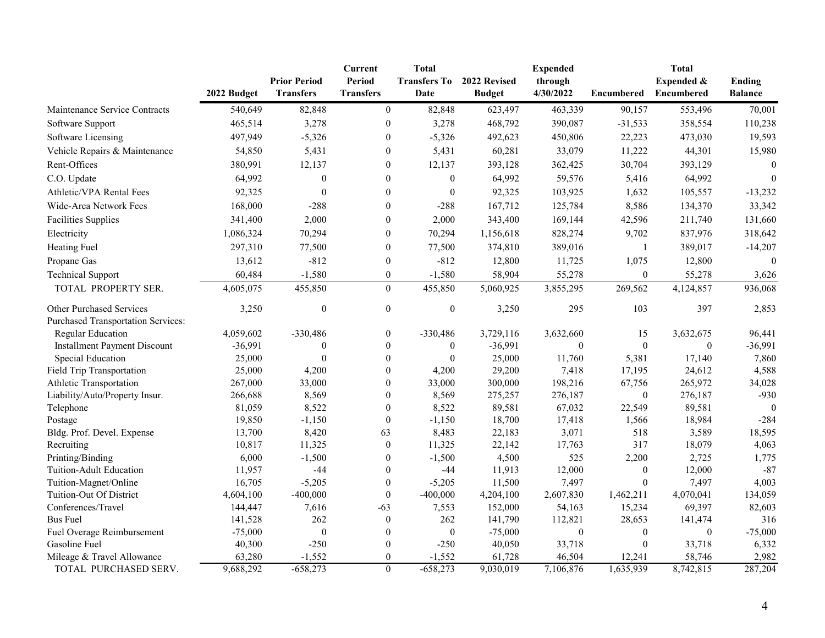|                                           |             | <b>Prior Period</b> | <b>Current</b><br><b>Period</b> | <b>Total</b><br><b>Transfers To</b> | 2022 Revised  | <b>Expended</b><br>through |                  | <b>Total</b><br><b>Expended &amp;</b> | <b>Ending</b>    |
|-------------------------------------------|-------------|---------------------|---------------------------------|-------------------------------------|---------------|----------------------------|------------------|---------------------------------------|------------------|
|                                           | 2022 Budget | <b>Transfers</b>    | <b>Transfers</b>                | Date                                | <b>Budget</b> | 4/30/2022                  | Encumbered       | Encumbered                            | <b>Balance</b>   |
| Maintenance Service Contracts             | 540,649     | 82,848              | $\mathbf{0}$                    | 82,848                              | 623,497       | 463,339                    | 90,157           | 553,496                               | 70,001           |
| Software Support                          | 465,514     | 3,278               | $\overline{0}$                  | 3,278                               | 468,792       | 390,087                    | $-31,533$        | 358,554                               | 110,238          |
| Software Licensing                        | 497,949     | $-5,326$            | $\theta$                        | $-5,326$                            | 492,623       | 450,806                    | 22,223           | 473,030                               | 19,593           |
| Vehicle Repairs & Maintenance             | 54,850      | 5,431               | $\overline{0}$                  | 5,431                               | 60,281        | 33,079                     | 11,222           | 44,301                                | 15,980           |
| Rent-Offices                              | 380,991     | 12,137              | $\bf{0}$                        | 12,137                              | 393,128       | 362,425                    | 30,704           | 393,129                               | $\theta$         |
| C.O. Update                               | 64,992      | $\boldsymbol{0}$    | $\theta$                        | $\bf{0}$                            | 64,992        | 59,576                     | 5,416            | 64,992                                | $\boldsymbol{0}$ |
| Athletic/VPA Rental Fees                  | 92,325      | $\theta$            | $\theta$                        | $\boldsymbol{0}$                    | 92,325        | 103,925                    | 1,632            | 105,557                               | $-13,232$        |
| Wide-Area Network Fees                    | 168,000     | $-288$              | $\bf{0}$                        | $-288$                              | 167,712       | 125,784                    | 8,586            | 134,370                               | 33,342           |
| <b>Facilities Supplies</b>                | 341,400     | 2,000               | $\bf{0}$                        | 2,000                               | 343,400       | 169,144                    | 42,596           | 211,740                               | 131,660          |
| Electricity                               | 1,086,324   | 70,294              | $\boldsymbol{0}$                | 70,294                              | 1,156,618     | 828,274                    | 9,702            | 837,976                               | 318,642          |
| <b>Heating Fuel</b>                       | 297,310     | 77,500              | $\bf{0}$                        | 77,500                              | 374,810       | 389,016                    |                  | 389,017                               | $-14,207$        |
| Propane Gas                               | 13,612      | $-812$              | $\theta$                        | $-812$                              | 12,800        | 11,725                     | 1,075            | 12,800                                | $\Omega$         |
| <b>Technical Support</b>                  | 60,484      | $-1,580$            | $\boldsymbol{0}$                | $-1,580$                            | 58,904        | 55,278                     | $\boldsymbol{0}$ | 55,278                                | 3,626            |
|                                           |             |                     |                                 |                                     |               |                            |                  |                                       |                  |
| TOTAL PROPERTY SER.                       | 4,605,075   | 455,850             | $\mathbf{0}$                    | 455,850                             | 5,060,925     | 3,855,295                  | 269,562          | 4,124,857                             | 936,068          |
| <b>Other Purchased Services</b>           | 3,250       | $\boldsymbol{0}$    | $\boldsymbol{0}$                | $\boldsymbol{0}$                    | 3,250         | 295                        | 103              | 397                                   | 2,853            |
| <b>Purchased Transportation Services:</b> |             |                     |                                 |                                     |               |                            |                  |                                       |                  |
| <b>Regular Education</b>                  | 4,059,602   | -330,486            | $\mathbf{0}$                    | $-330,486$                          | 3,729,116     | 3,632,660                  | 15               | 3,632,675                             | 96,441           |
| <b>Installment Payment Discount</b>       | $-36,991$   |                     | $\theta$                        | $\theta$                            | $-36,991$     | $\theta$                   | $\theta$         | $\Omega$                              | $-36,991$        |
| Special Education                         | 25,000      |                     | $\theta$                        | $\theta$                            | 25,000        | 11,760                     | 5,381            | 17,140                                | 7,860            |
| <b>Field Trip Transportation</b>          | 25,000      | 4,200               |                                 | 4,200                               | 29,200        | 7,418                      | 17,195           | 24,612                                | 4,588            |
| Athletic Transportation                   | 267,000     | 33,000              | $\theta$                        | 33,000                              | 300,000       | 198,216                    | 67,756           | 265,972                               | 34,028           |
| Liability/Auto/Property Insur.            | 266,688     | 8,569               | $\theta$                        | 8,569                               | 275,257       | 276,187                    | $\boldsymbol{0}$ | 276,187                               | $-930$           |
| Telephone                                 | 81,059      | 8,522               | $\theta$                        | 8,522                               | 89,581        | 67,032                     | 22,549           | 89,581                                | $\Omega$         |
| Postage                                   | 19,850      | $-1,150$            | $\theta$                        | $-1,150$                            | 18,700        | 17,418                     | 1,566            | 18,984                                | $-284$           |
| Bldg. Prof. Devel. Expense                | 13,700      | 8,420               | 63                              | 8,483                               | 22,183        | 3,071                      | 518              | 3,589                                 | 18,595           |
| Recruiting                                | 10,817      | 11,325              | $\boldsymbol{0}$                | 11,325                              | 22,142        | 17,763                     | 317              | 18,079                                | 4,063            |
| Printing/Binding                          | 6,000       | $-1,500$            |                                 | $-1,500$                            | 4,500         | 525                        | 2,200            | 2,725                                 | 1,775            |
| <b>Tuition-Adult Education</b>            | 11,957      | $-44$               | $\boldsymbol{0}$                | $-44$                               | 11,913        | 12,000                     | $\theta$         | 12,000                                | $-87$            |
| Tuition-Magnet/Online                     | 16,705      | $-5,205$            | $\boldsymbol{0}$                | $-5,205$                            | 11,500        | 7,497                      | $\theta$         | 7,497                                 | 4,003            |
| Tuition-Out Of District                   | 4,604,100   | $-400,000$          | $\theta$                        | $-400,000$                          | 4,204,100     | 2,607,830                  | 1,462,211        | 4,070,041                             | 134,059          |
| Conferences/Travel                        | 144,447     | 7,616               | $-63$                           | 7,553                               | 152,000       | 54,163                     | 15,234           | 69,397                                | 82,603           |
| <b>Bus Fuel</b>                           | 141,528     | 262                 |                                 | 262                                 | 141,790       | 112,821                    | 28,653           | 141,474                               | 316              |
| Fuel Overage Reimbursement                | $-75,000$   | $\boldsymbol{0}$    |                                 | $\boldsymbol{0}$                    | $-75,000$     | $\boldsymbol{0}$           | $\theta$         | $\theta$                              | $-75,000$        |
| Gasoline Fuel                             | 40,300      | $-250$              |                                 | $-250$                              | 40,050        | 33,718                     |                  | 33,718                                | 6,332            |
| Mileage & Travel Allowance                | 63,280      | $-1,552$            | $\boldsymbol{0}$                | $-1,552$                            | 61,728        | 46,504                     | 12,241           | 58,746                                | 2,982            |
| TOTAL PURCHASED SERV.                     | 9,688,292   | $-658,273$          | $\boldsymbol{0}$                | $-658,273$                          | 9,030,019     | 7,106,876                  | 1,635,939        | 8,742,815                             | 287,204          |